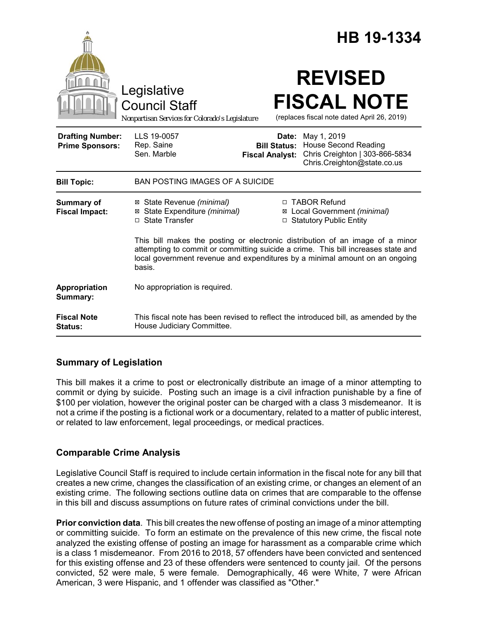|                                                   |                                                                                                                                                                                                                                                             |                                 | HB 19-1334                                                                                                               |
|---------------------------------------------------|-------------------------------------------------------------------------------------------------------------------------------------------------------------------------------------------------------------------------------------------------------------|---------------------------------|--------------------------------------------------------------------------------------------------------------------------|
|                                                   | Legislative<br><b>Council Staff</b><br>Nonpartisan Services for Colorado's Legislature                                                                                                                                                                      |                                 | <b>REVISED</b><br><b>FISCAL NOTE</b><br>(replaces fiscal note dated April 26, 2019)                                      |
| <b>Drafting Number:</b><br><b>Prime Sponsors:</b> | LLS 19-0057<br>Rep. Saine<br>Sen. Marble                                                                                                                                                                                                                    | Date:<br><b>Fiscal Analyst:</b> | May 1, 2019<br><b>Bill Status: House Second Reading</b><br>Chris Creighton   303-866-5834<br>Chris.Creighton@state.co.us |
| <b>Bill Topic:</b>                                | <b>BAN POSTING IMAGES OF A SUICIDE</b>                                                                                                                                                                                                                      |                                 |                                                                                                                          |
| <b>Summary of</b><br><b>Fiscal Impact:</b>        | ⊠ State Revenue (minimal)<br>⊠ State Expenditure (minimal)<br>□ State Transfer                                                                                                                                                                              |                                 | □ TABOR Refund<br>⊠ Local Government (minimal)<br>□ Statutory Public Entity                                              |
|                                                   | This bill makes the posting or electronic distribution of an image of a minor<br>attempting to commit or committing suicide a crime. This bill increases state and<br>local government revenue and expenditures by a minimal amount on an ongoing<br>basis. |                                 |                                                                                                                          |
| Appropriation<br>Summary:                         | No appropriation is required.                                                                                                                                                                                                                               |                                 |                                                                                                                          |
| <b>Fiscal Note</b><br><b>Status:</b>              | This fiscal note has been revised to reflect the introduced bill, as amended by the<br>House Judiciary Committee.                                                                                                                                           |                                 |                                                                                                                          |

## **Summary of Legislation**

This bill makes it a crime to post or electronically distribute an image of a minor attempting to commit or dying by suicide. Posting such an image is a civil infraction punishable by a fine of \$100 per violation, however the original poster can be charged with a class 3 misdemeanor. It is not a crime if the posting is a fictional work or a documentary, related to a matter of public interest, or related to law enforcement, legal proceedings, or medical practices.

# **Comparable Crime Analysis**

Legislative Council Staff is required to include certain information in the fiscal note for any bill that creates a new crime, changes the classification of an existing crime, or changes an element of an existing crime. The following sections outline data on crimes that are comparable to the offense in this bill and discuss assumptions on future rates of criminal convictions under the bill.

**Prior conviction data**. This bill creates the new offense of posting an image of a minor attempting or committing suicide. To form an estimate on the prevalence of this new crime, the fiscal note analyzed the existing offense of posting an image for harassment as a comparable crime which is a class 1 misdemeanor. From 2016 to 2018, 57 offenders have been convicted and sentenced for this existing offense and 23 of these offenders were sentenced to county jail. Of the persons convicted, 52 were male, 5 were female. Demographically, 46 were White, 7 were African American, 3 were Hispanic, and 1 offender was classified as "Other."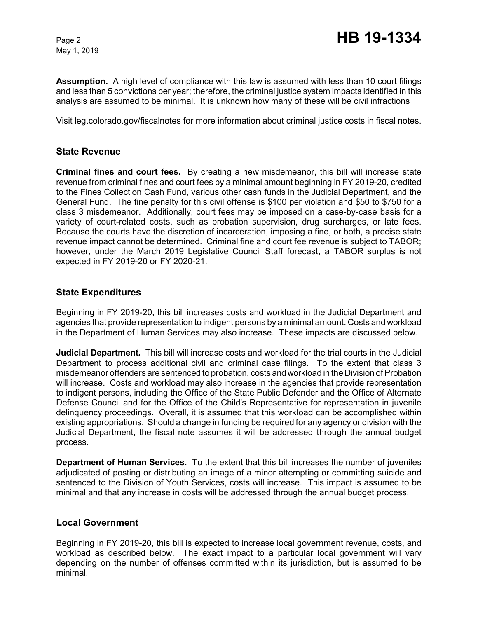May 1, 2019

**Assumption.** A high level of compliance with this law is assumed with less than 10 court filings and less than 5 convictions per year; therefore, the criminal justice system impacts identified in this analysis are assumed to be minimal. It is unknown how many of these will be civil infractions

Visit leg.colorado.gov/fiscalnotes for more information about criminal justice costs in fiscal notes.

## **State Revenue**

**Criminal fines and court fees.** By creating a new misdemeanor, this bill will increase state revenue from criminal fines and court fees by a minimal amount beginning in FY 2019-20, credited to the Fines Collection Cash Fund, various other cash funds in the Judicial Department, and the General Fund. The fine penalty for this civil offense is \$100 per violation and \$50 to \$750 for a class 3 misdemeanor. Additionally, court fees may be imposed on a case-by-case basis for a variety of court-related costs, such as probation supervision, drug surcharges, or late fees. Because the courts have the discretion of incarceration, imposing a fine, or both, a precise state revenue impact cannot be determined. Criminal fine and court fee revenue is subject to TABOR; however, under the March 2019 Legislative Council Staff forecast, a TABOR surplus is not expected in FY 2019-20 or FY 2020-21.

## **State Expenditures**

Beginning in FY 2019-20, this bill increases costs and workload in the Judicial Department and agencies that provide representation to indigent persons by a minimal amount. Costs and workload in the Department of Human Services may also increase. These impacts are discussed below.

**Judicial Department***.* This bill will increase costs and workload for the trial courts in the Judicial Department to process additional civil and criminal case filings. To the extent that class 3 misdemeanor offenders are sentenced to probation, costs and workload in the Division of Probation will increase. Costs and workload may also increase in the agencies that provide representation to indigent persons, including the Office of the State Public Defender and the Office of Alternate Defense Council and for the Office of the Child's Representative for representation in juvenile delinquency proceedings. Overall, it is assumed that this workload can be accomplished within existing appropriations. Should a change in funding be required for any agency or division with the Judicial Department, the fiscal note assumes it will be addressed through the annual budget process.

**Department of Human Services.** To the extent that this bill increases the number of juveniles adjudicated of posting or distributing an image of a minor attempting or committing suicide and sentenced to the Division of Youth Services, costs will increase. This impact is assumed to be minimal and that any increase in costs will be addressed through the annual budget process.

### **Local Government**

Beginning in FY 2019-20, this bill is expected to increase local government revenue, costs, and workload as described below. The exact impact to a particular local government will vary depending on the number of offenses committed within its jurisdiction, but is assumed to be minimal.